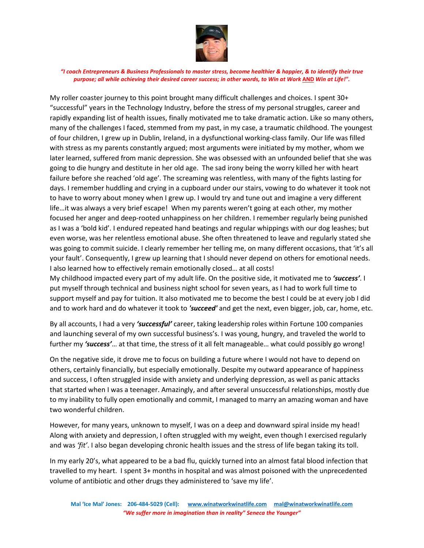

My roller coaster journey to this point brought many difficult challenges and choices. I spent 30+ "successful" years in the Technology Industry, before the stress of my personal struggles, career and rapidly expanding list of health issues, finally motivated me to take dramatic action. Like so many others, many of the challenges I faced, stemmed from my past, in my case, a traumatic childhood. The youngest of four children, I grew up in Dublin, Ireland, in a dysfunctional working-class family. Our life was filled with stress as my parents constantly argued; most arguments were initiated by my mother, whom we later learned, suffered from manic depression. She was obsessed with an unfounded belief that she was going to die hungry and destitute in her old age. The sad irony being the worry killed her with heart failure before she reached 'old age'. The screaming was relentless, with many of the fights lasting for days. I remember huddling and crying in a cupboard under our stairs, vowing to do whatever it took not to have to worry about money when I grew up. I would try and tune out and imagine a very different life…it was always a very brief escape! When my parents weren't going at each other, my mother focused her anger and deep-rooted unhappiness on her children. I remember regularly being punished as I was a 'bold kid'. I endured repeated hand beatings and regular whippings with our dog leashes; but even worse, was her relentless emotional abuse. She often threatened to leave and regularly stated she was going to commit suicide. I clearly remember her telling me, on many different occasions, that 'it's all your fault'. Consequently, I grew up learning that I should never depend on others for emotional needs. I also learned how to effectively remain emotionally closed… at all costs!

My childhood impacted every part of my adult life. On the positive side, it motivated me to *'success'*. I put myself through technical and business night school for seven years, as I had to work full time to support myself and pay for tuition. It also motivated me to become the best I could be at every job I did and to work hard and do whatever it took to *'succeed'* and get the next, even bigger, job, car, home, etc.

By all accounts, I had a very *'successful'* career, taking leadership roles within Fortune 100 companies and launching several of my own successful business's. I was young, hungry, and traveled the world to further my *'success'*… at that time, the stress of it all felt manageable… what could possibly go wrong!

On the negative side, it drove me to focus on building a future where I would not have to depend on others, certainly financially, but especially emotionally. Despite my outward appearance of happiness and success, I often struggled inside with anxiety and underlying depression, as well as panic attacks that started when I was a teenager. Amazingly, and after several unsuccessful relationships, mostly due to my inability to fully open emotionally and commit, I managed to marry an amazing woman and have two wonderful children.

However, for many years, unknown to myself, I was on a deep and downward spiral inside my head! Along with anxiety and depression, I often struggled with my weight, even though I exercised regularly and was *'fit'*. I also began developing chronic health issues and the stress of life began taking its toll.

In my early 20's, what appeared to be a bad flu, quickly turned into an almost fatal blood infection that travelled to my heart. I spent 3+ months in hospital and was almost poisoned with the unprecedented volume of antibiotic and other drugs they administered to 'save my life'.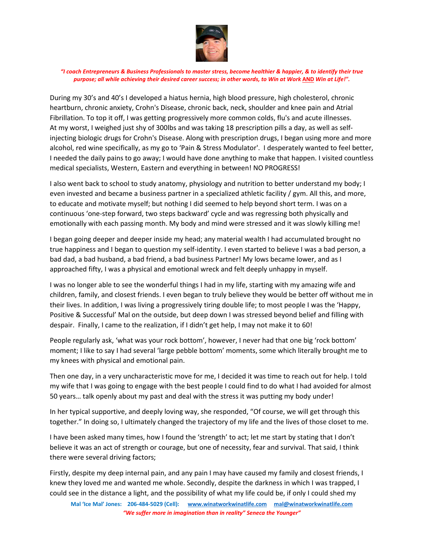

During my 30's and 40's I developed a hiatus hernia, high blood pressure, high cholesterol, chronic heartburn, chronic anxiety, Crohn's Disease, chronic back, neck, shoulder and knee pain and Atrial Fibrillation. To top it off, I was getting progressively more common colds, flu's and acute illnesses. At my worst, I weighed just shy of 300lbs and was taking 18 prescription pills a day, as well as selfinjecting biologic drugs for Crohn's Disease. Along with prescription drugs, I began using more and more alcohol, red wine specifically, as my go to 'Pain & Stress Modulator'. I desperately wanted to feel better, I needed the daily pains to go away; I would have done anything to make that happen. I visited countless medical specialists, Western, Eastern and everything in between! NO PROGRESS!

I also went back to school to study anatomy, physiology and nutrition to better understand my body; I even invested and became a business partner in a specialized athletic facility / gym. All this, and more, to educate and motivate myself; but nothing I did seemed to help beyond short term. I was on a continuous 'one-step forward, two steps backward' cycle and was regressing both physically and emotionally with each passing month. My body and mind were stressed and it was slowly killing me!

I began going deeper and deeper inside my head; any material wealth I had accumulated brought no true happiness and I began to question my self-identity. I even started to believe I was a bad person, a bad dad, a bad husband, a bad friend, a bad business Partner! My lows became lower, and as I approached fifty, I was a physical and emotional wreck and felt deeply unhappy in myself.

I was no longer able to see the wonderful things I had in my life, starting with my amazing wife and children, family, and closest friends. I even began to truly believe they would be better off without me in their lives. In addition, I was living a progressively tiring double life; to most people I was the 'Happy, Positive & Successful' Mal on the outside, but deep down I was stressed beyond belief and filling with despair. Finally, I came to the realization, if I didn't get help, I may not make it to 60!

People regularly ask, 'what was your rock bottom', however, I never had that one big 'rock bottom' moment; I like to say I had several 'large pebble bottom' moments, some which literally brought me to my knees with physical and emotional pain.

Then one day, in a very uncharacteristic move for me, I decided it was time to reach out for help. I told my wife that I was going to engage with the best people I could find to do what I had avoided for almost 50 years… talk openly about my past and deal with the stress it was putting my body under!

In her typical supportive, and deeply loving way, she responded, "Of course, we will get through this together." In doing so, I ultimately changed the trajectory of my life and the lives of those closet to me.

I have been asked many times, how I found the 'strength' to act; let me start by stating that I don't believe it was an act of strength or courage, but one of necessity, fear and survival. That said, I think there were several driving factors;

Firstly, despite my deep internal pain, and any pain I may have caused my family and closest friends, I knew they loved me and wanted me whole. Secondly, despite the darkness in which I was trapped, I could see in the distance a light, and the possibility of what my life could be, if only I could shed my

**Mal 'Ice Mal' Jones: 206-484-5029 (Cell): [www.winatworkwinatlife.com](http://www.winatworkwinatlife.com/) [mal@winatworkwinatlife.com](mailto:mal@winatworkwinatlife.com)** *"We suffer more in imagination than in reality" Seneca the Younger"*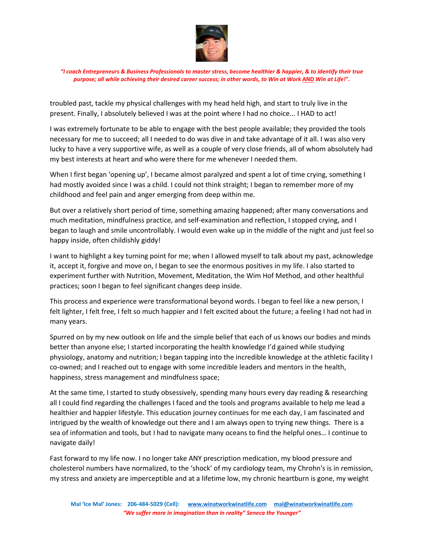

troubled past, tackle my physical challenges with my head held high, and start to truly live in the present. Finally, I absolutely believed I was at the point where I had no choice... I HAD to act!

I was extremely fortunate to be able to engage with the best people available; they provided the tools necessary for me to succeed; all I needed to do was dive in and take advantage of it all. I was also very lucky to have a very supportive wife, as well as a couple of very close friends, all of whom absolutely had my best interests at heart and who were there for me whenever I needed them.

When I first began 'opening up', I became almost paralyzed and spent a lot of time crying, something I had mostly avoided since I was a child. I could not think straight; I began to remember more of my childhood and feel pain and anger emerging from deep within me.

But over a relatively short period of time, something amazing happened; after many conversations and much meditation, mindfulness practice, and self-examination and reflection, I stopped crying, and I began to laugh and smile uncontrollably. I would even wake up in the middle of the night and just feel so happy inside, often childishly giddy!

I want to highlight a key turning point for me; when I allowed myself to talk about my past, acknowledge it, accept it, forgive and move on, I began to see the enormous positives in my life. I also started to experiment further with Nutrition, Movement, Meditation, the Wim Hof Method, and other healthful practices; soon I began to feel significant changes deep inside.

This process and experience were transformational beyond words. I began to feel like a new person, I felt lighter, I felt free, I felt so much happier and I felt excited about the future; a feeling I had not had in many years.

Spurred on by my new outlook on life and the simple belief that each of us knows our bodies and minds better than anyone else; I started incorporating the health knowledge I'd gained while studying physiology, anatomy and nutrition; I began tapping into the incredible knowledge at the athletic facility I co-owned; and I reached out to engage with some incredible leaders and mentors in the health, happiness, stress management and mindfulness space;

At the same time, I started to study obsessively, spending many hours every day reading & researching all I could find regarding the challenges I faced and the tools and programs available to help me lead a healthier and happier lifestyle. This education journey continues for me each day, I am fascinated and intrigued by the wealth of knowledge out there and I am always open to trying new things. There is a sea of information and tools, but I had to navigate many oceans to find the helpful ones… I continue to navigate daily!

Fast forward to my life now. I no longer take ANY prescription medication, my blood pressure and cholesterol numbers have normalized, to the 'shock' of my cardiology team, my Chrohn's is in remission, my stress and anxiety are imperceptible and at a lifetime low, my chronic heartburn is gone, my weight